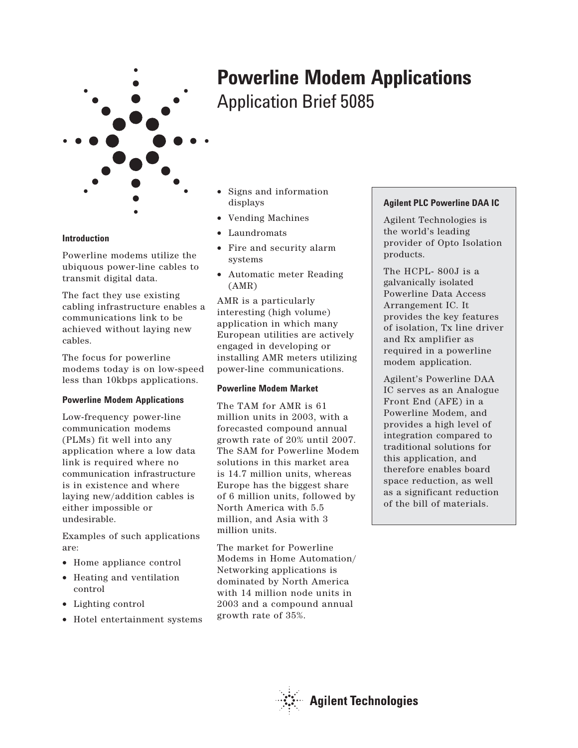

- Signs and information displays
	- Vending Machines
	- Laundromats
	- Fire and security alarm systems

Application Brief 5085

**Powerline Modem Applications**

• Automatic meter Reading (AMR)

AMR is a particularly interesting (high volume) application in which many European utilities are actively engaged in developing or installing AMR meters utilizing power-line communications.

# **Powerline Modem Market**

The TAM for AMR is 61 million units in 2003, with a forecasted compound annual growth rate of 20% until 2007. The SAM for Powerline Modem solutions in this market area is 14.7 million units, whereas Europe has the biggest share of 6 million units, followed by North America with 5.5 million, and Asia with 3 million units.

The market for Powerline Modems in Home Automation/ Networking applications is dominated by North America with 14 million node units in 2003 and a compound annual growth rate of 35%.

# **Agilent PLC Powerline DAA IC**

Agilent Technologies is the world's leading provider of Opto Isolation products.

The HCPL- 800J is a galvanically isolated Powerline Data Access Arrangement IC. It provides the key features of isolation, Tx line driver and Rx amplifier as required in a powerline modem application.

Agilent's Powerline DAA IC serves as an Analogue Front End (AFE) in a Powerline Modem, and provides a high level of integration compared to traditional solutions for this application, and therefore enables board space reduction, as well as a significant reduction of the bill of materials.



## **Introduction**

Powerline modems utilize the ubiquous power-line cables to transmit digital data.

The fact they use existing cabling infrastructure enables a communications link to be achieved without laying new cables.

The focus for powerline modems today is on low-speed less than 10kbps applications.

# **Powerline Modem Applications**

Low-frequency power-line communication modems (PLMs) fit well into any application where a low data link is required where no communication infrastructure is in existence and where laying new/addition cables is either impossible or undesirable.

Examples of such applications are:

- Home appliance control
- Heating and ventilation control
- Lighting control
- Hotel entertainment systems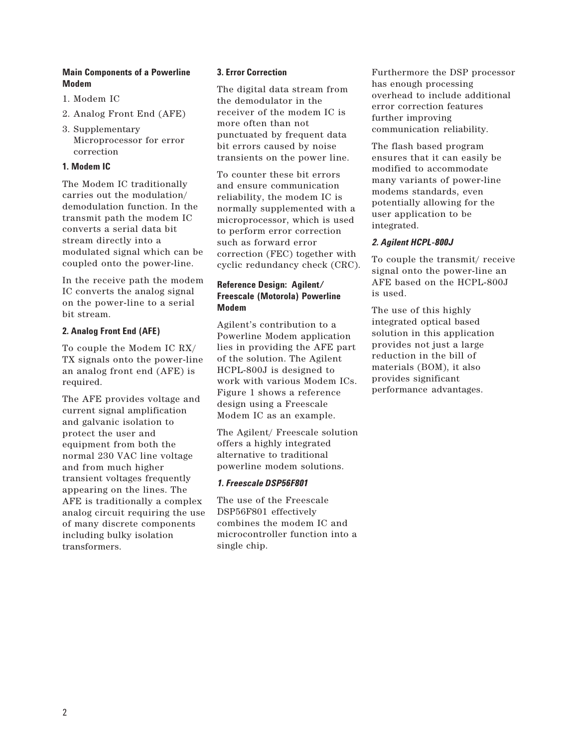## **Main Components of a Powerline Modem**

- 1. Modem IC
- 2. Analog Front End (AFE)
- 3. Supplementary Microprocessor for error correction

## **1. Modem IC**

The Modem IC traditionally carries out the modulation/ demodulation function. In the transmit path the modem IC converts a serial data bit stream directly into a modulated signal which can be coupled onto the power-line.

In the receive path the modem IC converts the analog signal on the power-line to a serial bit stream.

## **2. Analog Front End (AFE)**

To couple the Modem IC RX/ TX signals onto the power-line an analog front end (AFE) is required.

The AFE provides voltage and current signal amplification and galvanic isolation to protect the user and equipment from both the normal 230 VAC line voltage and from much higher transient voltages frequently appearing on the lines. The AFE is traditionally a complex analog circuit requiring the use of many discrete components including bulky isolation transformers.

## **3. Error Correction**

The digital data stream from the demodulator in the receiver of the modem IC is more often than not punctuated by frequent data bit errors caused by noise transients on the power line.

To counter these bit errors and ensure communication reliability, the modem IC is normally supplemented with a microprocessor, which is used to perform error correction such as forward error correction (FEC) together with cyclic redundancy check (CRC).

## **Reference Design: Agilent/ Freescale (Motorola) Powerline Modem**

Agilent's contribution to a Powerline Modem application lies in providing the AFE part of the solution. The Agilent HCPL-800J is designed to work with various Modem ICs. Figure 1 shows a reference design using a Freescale Modem IC as an example.

The Agilent/ Freescale solution offers a highly integrated alternative to traditional powerline modem solutions.

# *1. Freescale DSP56F801*

The use of the Freescale DSP56F801 effectively combines the modem IC and microcontroller function into a single chip.

Furthermore the DSP processor has enough processing overhead to include additional error correction features further improving communication reliability.

The flash based program ensures that it can easily be modified to accommodate many variants of power-line modems standards, even potentially allowing for the user application to be integrated.

# *2. Agilent HCPL-800J*

To couple the transmit/ receive signal onto the power-line an AFE based on the HCPL-800J is used.

The use of this highly integrated optical based solution in this application provides not just a large reduction in the bill of materials (BOM), it also provides significant performance advantages.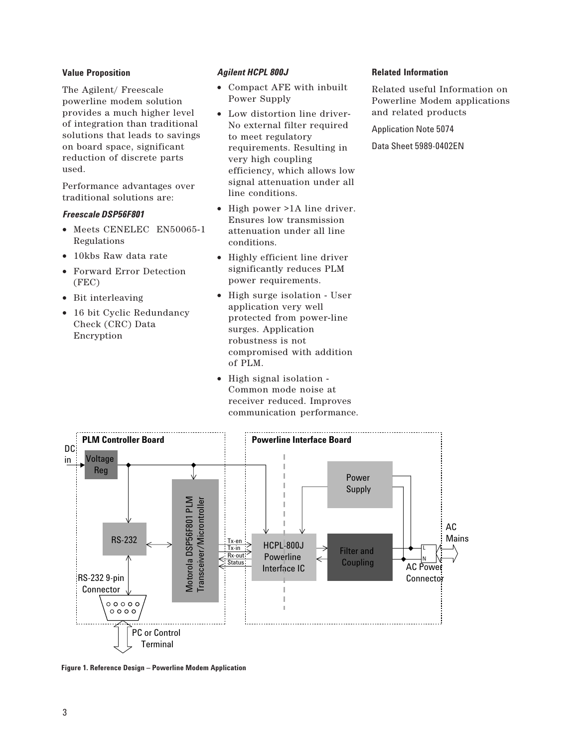#### **Value Proposition**

The Agilent/ Freescale powerline modem solution provides a much higher level of integration than traditional solutions that leads to savings on board space, significant reduction of discrete parts used.

Performance advantages over traditional solutions are:

#### *Freescale DSP56F801*

- Meets CENELEC EN50065-1 Regulations
- 10kbs Raw data rate
- Forward Error Detection (FEC)
- Bit interleaving
- 16 bit Cyclic Redundancy Check (CRC) Data Encryption

#### *Agilent HCPL 800J*

- Compact AFE with inbuilt Power Supply
- Low distortion line driver-No external filter required to meet regulatory requirements. Resulting in very high coupling efficiency, which allows low signal attenuation under all line conditions.
- High power >1A line driver. Ensures low transmission attenuation under all line conditions.
- Highly efficient line driver significantly reduces PLM power requirements.
- High surge isolation User application very well protected from power-line surges. Application robustness is not compromised with addition of PLM.
- High signal isolation Common mode noise at receiver reduced. Improves communication performance.



Related useful Information on Powerline Modem applications and related products

Application Note 5074

Data Sheet 5989-0402EN



**Figure 1. Reference Design – Powerline Modem Application**